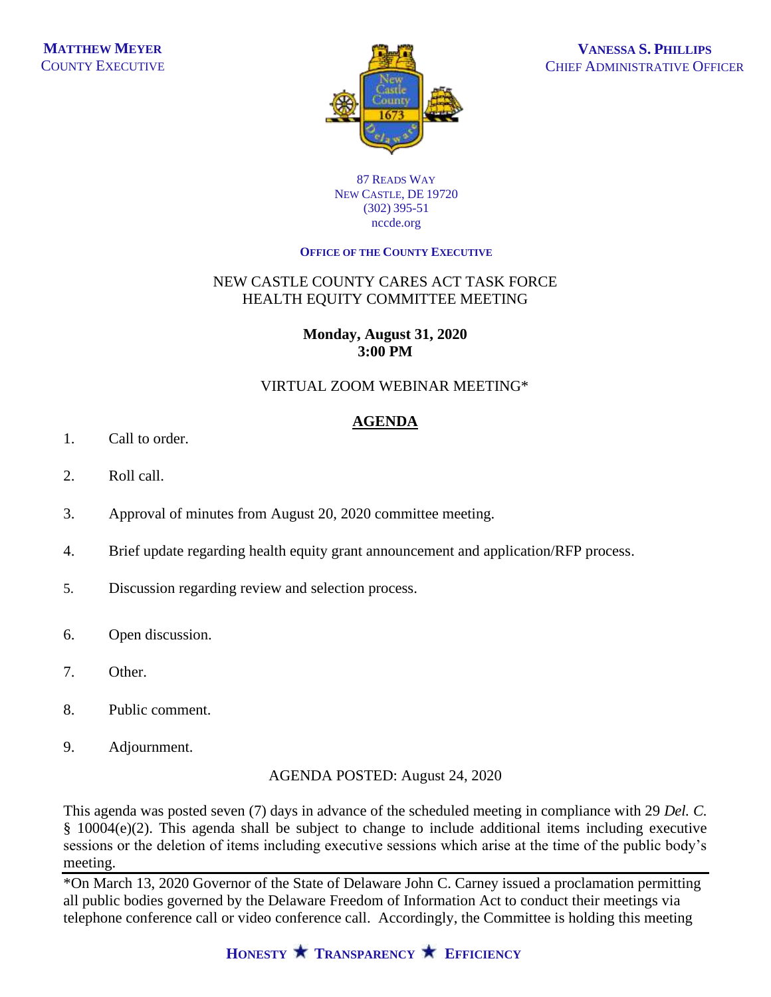

#### 87 READS WAY NEW CASTLE, DE 19720 (302) 395-51 nccde.org

#### **OFFICE OF THE COUNTY EXECUTIVE**

## NEW CASTLE COUNTY CARES ACT TASK FORCE HEALTH EQUITY COMMITTEE MEETING

#### **Monday, August 31, 2020 3:00 PM**

## VIRTUAL ZOOM WEBINAR MEETING\*

# **AGENDA**

- 1. Call to order.
- 2. Roll call.
- 3. Approval of minutes from August 20, 2020 committee meeting.
- 4. Brief update regarding health equity grant announcement and application/RFP process.
- 5. Discussion regarding review and selection process.
- 6. Open discussion.
- 7. Other.
- 8. Public comment.
- 9. Adjournment.

AGENDA POSTED: August 24, 2020

This agenda was posted seven (7) days in advance of the scheduled meeting in compliance with 29 *Del. C.* § 10004(e)(2). This agenda shall be subject to change to include additional items including executive sessions or the deletion of items including executive sessions which arise at the time of the public body's meeting.

\*On March 13, 2020 Governor of the State of Delaware John C. Carney issued a proclamation permitting all public bodies governed by the Delaware Freedom of Information Act to conduct their meetings via telephone conference call or video conference call. Accordingly, the Committee is holding this meeting